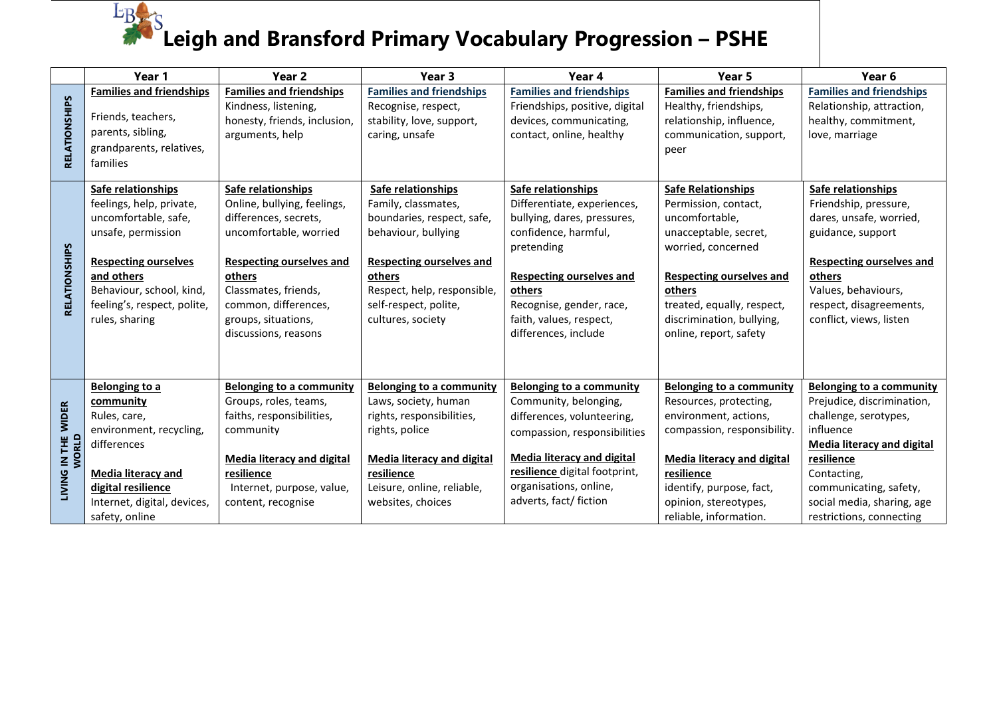## $E_{B}$ **Leigh and Bransford Primary Vocabulary Progression – PSHE**

|                              | Year 1                                                                                                                                                                                                                 | Year 2                                                                                                                                                                                                                                           | Year 3                                                                                                                                                                                                                   | Year 4                                                                                                                                                                                                                                             | Year 5                                                                                                                                                                                                                                               | Year <sub>6</sub>                                                                                                                                                                                                                                         |
|------------------------------|------------------------------------------------------------------------------------------------------------------------------------------------------------------------------------------------------------------------|--------------------------------------------------------------------------------------------------------------------------------------------------------------------------------------------------------------------------------------------------|--------------------------------------------------------------------------------------------------------------------------------------------------------------------------------------------------------------------------|----------------------------------------------------------------------------------------------------------------------------------------------------------------------------------------------------------------------------------------------------|------------------------------------------------------------------------------------------------------------------------------------------------------------------------------------------------------------------------------------------------------|-----------------------------------------------------------------------------------------------------------------------------------------------------------------------------------------------------------------------------------------------------------|
| RELATIONSHIPS                | <b>Families and friendships</b><br>Friends, teachers,<br>parents, sibling,<br>grandparents, relatives,<br>families                                                                                                     | <b>Families and friendships</b><br>Kindness, listening,<br>honesty, friends, inclusion,<br>arguments, help                                                                                                                                       | <b>Families and friendships</b><br>Recognise, respect,<br>stability, love, support,<br>caring, unsafe                                                                                                                    | <b>Families and friendships</b><br>Friendships, positive, digital<br>devices, communicating,<br>contact, online, healthy                                                                                                                           | <b>Families and friendships</b><br>Healthy, friendships,<br>relationship, influence,<br>communication, support,<br>peer                                                                                                                              | <b>Families and friendships</b><br>Relationship, attraction,<br>healthy, commitment,<br>love, marriage                                                                                                                                                    |
| RELATIONSHIPS                | Safe relationships<br>feelings, help, private,<br>uncomfortable, safe,<br>unsafe, permission<br><b>Respecting ourselves</b><br>and others<br>Behaviour, school, kind,<br>feeling's, respect, polite,<br>rules, sharing | Safe relationships<br>Online, bullying, feelings,<br>differences, secrets,<br>uncomfortable, worried<br><b>Respecting ourselves and</b><br>others<br>Classmates, friends,<br>common, differences,<br>groups, situations,<br>discussions, reasons | Safe relationships<br>Family, classmates,<br>boundaries, respect, safe,<br>behaviour, bullying<br><b>Respecting ourselves and</b><br>others<br>Respect, help, responsible,<br>self-respect, polite,<br>cultures, society | Safe relationships<br>Differentiate, experiences,<br>bullying, dares, pressures,<br>confidence, harmful,<br>pretending<br><b>Respecting ourselves and</b><br>others<br>Recognise, gender, race,<br>faith, values, respect,<br>differences, include | <b>Safe Relationships</b><br>Permission, contact,<br>uncomfortable,<br>unacceptable, secret,<br>worried, concerned<br><b>Respecting ourselves and</b><br>others<br>treated, equally, respect,<br>discrimination, bullying,<br>online, report, safety | Safe relationships<br>Friendship, pressure,<br>dares, unsafe, worried,<br>guidance, support<br><b>Respecting ourselves and</b><br>others<br>Values, behaviours,<br>respect, disagreements,<br>conflict, views, listen                                     |
| LIVING IN THE WIDER<br>WORLD | Belonging to a<br>community<br>Rules, care,<br>environment, recycling,<br>differences<br>Media literacy and<br>digital resilience<br>Internet, digital, devices,<br>safety, online                                     | <b>Belonging to a community</b><br>Groups, roles, teams,<br>faiths, responsibilities,<br>community<br>Media literacy and digital<br>resilience<br>Internet, purpose, value,<br>content, recognise                                                | <b>Belonging to a community</b><br>Laws, society, human<br>rights, responsibilities,<br>rights, police<br><b>Media literacy and digital</b><br>resilience<br>Leisure, online, reliable,<br>websites, choices             | <b>Belonging to a community</b><br>Community, belonging,<br>differences, volunteering,<br>compassion, responsibilities<br><b>Media literacy and digital</b><br>resilience digital footprint,<br>organisations, online,<br>adverts, fact/ fiction   | Belonging to a community<br>Resources, protecting,<br>environment, actions,<br>compassion, responsibility.<br><b>Media literacy and digital</b><br>resilience<br>identify, purpose, fact,<br>opinion, stereotypes,<br>reliable, information.         | <b>Belonging to a community</b><br>Prejudice, discrimination,<br>challenge, serotypes,<br>influence<br><b>Media literacy and digital</b><br>resilience<br>Contacting,<br>communicating, safety,<br>social media, sharing, age<br>restrictions, connecting |